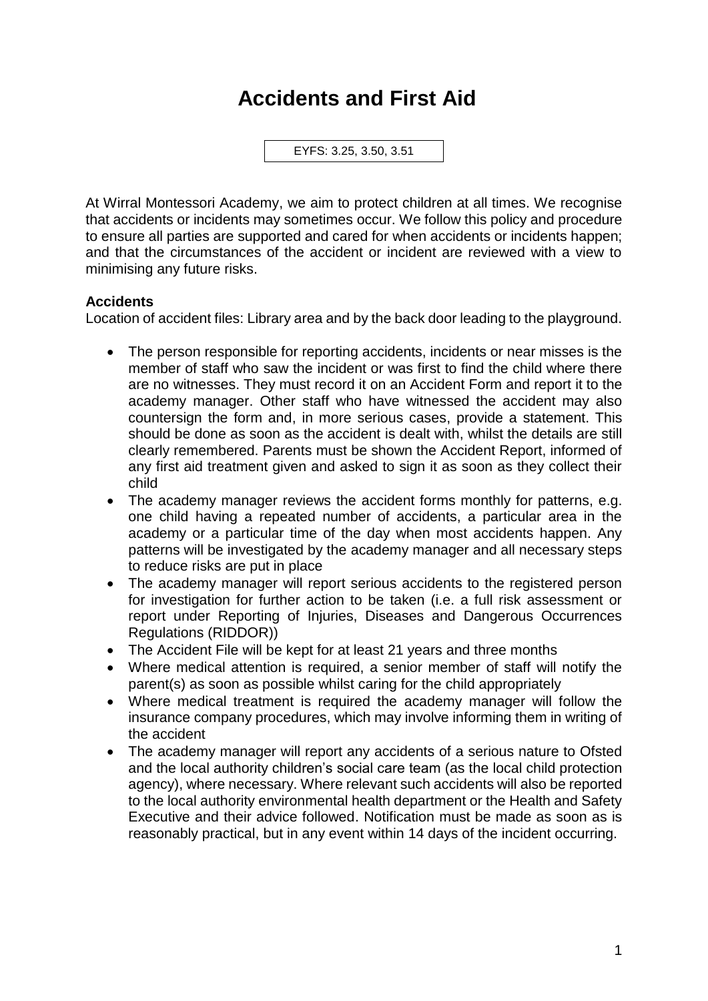# **Accidents and First Aid**

EYFS: 3.25, 3.50, 3.51

At Wirral Montessori Academy, we aim to protect children at all times. We recognise that accidents or incidents may sometimes occur. We follow this policy and procedure to ensure all parties are supported and cared for when accidents or incidents happen; and that the circumstances of the accident or incident are reviewed with a view to minimising any future risks.

# **Accidents**

Location of accident files: Library area and by the back door leading to the playground.

- The person responsible for reporting accidents, incidents or near misses is the member of staff who saw the incident or was first to find the child where there are no witnesses. They must record it on an Accident Form and report it to the academy manager. Other staff who have witnessed the accident may also countersign the form and, in more serious cases, provide a statement. This should be done as soon as the accident is dealt with, whilst the details are still clearly remembered. Parents must be shown the Accident Report, informed of any first aid treatment given and asked to sign it as soon as they collect their child
- The academy manager reviews the accident forms monthly for patterns, e.g. one child having a repeated number of accidents, a particular area in the academy or a particular time of the day when most accidents happen. Any patterns will be investigated by the academy manager and all necessary steps to reduce risks are put in place
- The academy manager will report serious accidents to the registered person for investigation for further action to be taken (i.e. a full risk assessment or report under Reporting of Injuries, Diseases and Dangerous Occurrences Regulations (RIDDOR))
- The Accident File will be kept for at least 21 years and three months
- Where medical attention is required, a senior member of staff will notify the parent(s) as soon as possible whilst caring for the child appropriately
- Where medical treatment is required the academy manager will follow the insurance company procedures, which may involve informing them in writing of the accident
- The academy manager will report any accidents of a serious nature to Ofsted and the local authority children's social care team (as the local child protection agency), where necessary. Where relevant such accidents will also be reported to the local authority environmental health department or the Health and Safety Executive and their advice followed. Notification must be made as soon as is reasonably practical, but in any event within 14 days of the incident occurring.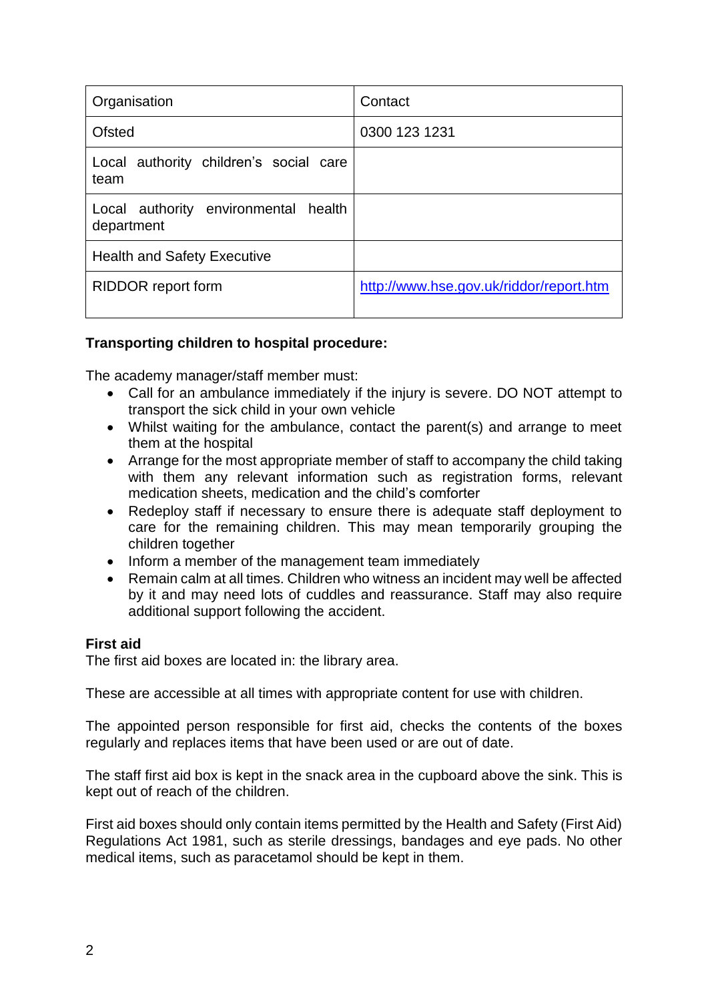| Organisation                                       | Contact                                 |
|----------------------------------------------------|-----------------------------------------|
| Ofsted                                             | 0300 123 1231                           |
| Local authority children's social care<br>team     |                                         |
| Local authority environmental health<br>department |                                         |
| <b>Health and Safety Executive</b>                 |                                         |
| <b>RIDDOR</b> report form                          | http://www.hse.gov.uk/riddor/report.htm |

# **Transporting children to hospital procedure:**

The academy manager/staff member must:

- Call for an ambulance immediately if the injury is severe. DO NOT attempt to transport the sick child in your own vehicle
- Whilst waiting for the ambulance, contact the parent(s) and arrange to meet them at the hospital
- Arrange for the most appropriate member of staff to accompany the child taking with them any relevant information such as registration forms, relevant medication sheets, medication and the child's comforter
- Redeploy staff if necessary to ensure there is adequate staff deployment to care for the remaining children. This may mean temporarily grouping the children together
- Inform a member of the management team immediately
- Remain calm at all times. Children who witness an incident may well be affected by it and may need lots of cuddles and reassurance. Staff may also require additional support following the accident.

#### **First aid**

The first aid boxes are located in: the library area.

These are accessible at all times with appropriate content for use with children.

The appointed person responsible for first aid, checks the contents of the boxes regularly and replaces items that have been used or are out of date.

The staff first aid box is kept in the snack area in the cupboard above the sink. This is kept out of reach of the children.

First aid boxes should only contain items permitted by the Health and Safety (First Aid) Regulations Act 1981, such as sterile dressings, bandages and eye pads. No other medical items, such as paracetamol should be kept in them.